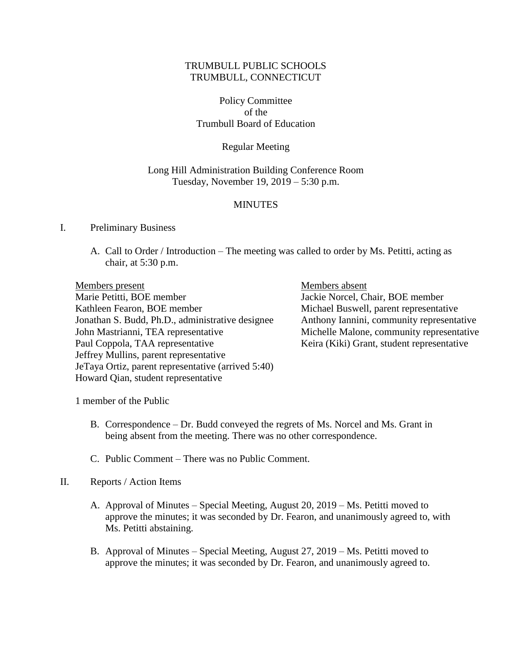## TRUMBULL PUBLIC SCHOOLS TRUMBULL, CONNECTICUT

Policy Committee of the Trumbull Board of Education

## Regular Meeting

### Long Hill Administration Building Conference Room Tuesday, November 19, 2019 – 5:30 p.m.

#### **MINUTES**

#### I. Preliminary Business

A. Call to Order / Introduction – The meeting was called to order by Ms. Petitti, acting as chair, at 5:30 p.m.

Members present Members absent Marie Petitti, BOE member Jackie Norcel, Chair, BOE member Kathleen Fearon, BOE member Michael Buswell, parent representative Jonathan S. Budd, Ph.D., administrative designee Anthony Iannini, community representative John Mastrianni, TEA representative Michelle Malone, community representative Paul Coppola, TAA representative Keira (Kiki) Grant, student representative Jeffrey Mullins, parent representative JeTaya Ortiz, parent representative (arrived 5:40) Howard Qian, student representative

1 member of the Public

- B. Correspondence Dr. Budd conveyed the regrets of Ms. Norcel and Ms. Grant in being absent from the meeting. There was no other correspondence.
- C. Public Comment There was no Public Comment.

#### II. Reports / Action Items

- A. Approval of Minutes Special Meeting, August 20, 2019 Ms. Petitti moved to approve the minutes; it was seconded by Dr. Fearon, and unanimously agreed to, with Ms. Petitti abstaining.
- B. Approval of Minutes Special Meeting, August 27, 2019 Ms. Petitti moved to approve the minutes; it was seconded by Dr. Fearon, and unanimously agreed to.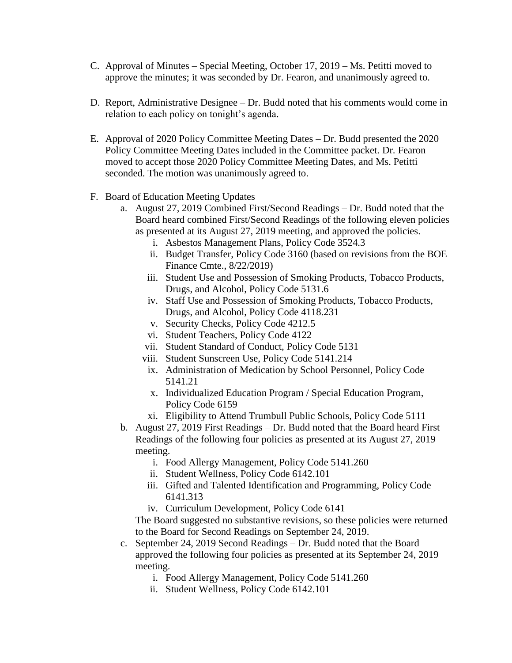- C. Approval of Minutes Special Meeting, October 17, 2019 Ms. Petitti moved to approve the minutes; it was seconded by Dr. Fearon, and unanimously agreed to.
- D. Report, Administrative Designee Dr. Budd noted that his comments would come in relation to each policy on tonight's agenda.
- E. Approval of 2020 Policy Committee Meeting Dates Dr. Budd presented the 2020 Policy Committee Meeting Dates included in the Committee packet. Dr. Fearon moved to accept those 2020 Policy Committee Meeting Dates, and Ms. Petitti seconded. The motion was unanimously agreed to.
- F. Board of Education Meeting Updates
	- a. August 27, 2019 Combined First/Second Readings Dr. Budd noted that the Board heard combined First/Second Readings of the following eleven policies as presented at its August 27, 2019 meeting, and approved the policies.
		- i. Asbestos Management Plans, Policy Code 3524.3
		- ii. Budget Transfer, Policy Code 3160 (based on revisions from the BOE Finance Cmte., 8/22/2019)
		- iii. Student Use and Possession of Smoking Products, Tobacco Products, Drugs, and Alcohol, Policy Code 5131.6
		- iv. Staff Use and Possession of Smoking Products, Tobacco Products, Drugs, and Alcohol, Policy Code 4118.231
		- v. Security Checks, Policy Code 4212.5
		- vi. Student Teachers, Policy Code 4122
		- vii. Student Standard of Conduct, Policy Code 5131
		- viii. Student Sunscreen Use, Policy Code 5141.214
		- ix. Administration of Medication by School Personnel, Policy Code 5141.21
		- x. Individualized Education Program / Special Education Program, Policy Code 6159
		- xi. Eligibility to Attend Trumbull Public Schools, Policy Code 5111
	- b. August 27, 2019 First Readings Dr. Budd noted that the Board heard First Readings of the following four policies as presented at its August 27, 2019 meeting.
		- i. Food Allergy Management, Policy Code 5141.260
		- ii. Student Wellness, Policy Code 6142.101
		- iii. Gifted and Talented Identification and Programming, Policy Code 6141.313
		- iv. Curriculum Development, Policy Code 6141

The Board suggested no substantive revisions, so these policies were returned to the Board for Second Readings on September 24, 2019.

- c. September 24, 2019 Second Readings Dr. Budd noted that the Board approved the following four policies as presented at its September 24, 2019 meeting.
	- i. Food Allergy Management, Policy Code 5141.260
	- ii. Student Wellness, Policy Code 6142.101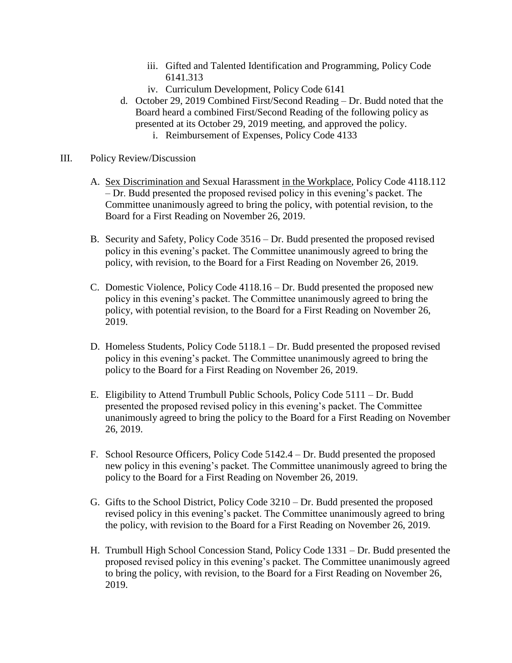- iii. Gifted and Talented Identification and Programming, Policy Code 6141.313
- iv. Curriculum Development, Policy Code 6141
- d. October 29, 2019 Combined First/Second Reading Dr. Budd noted that the Board heard a combined First/Second Reading of the following policy as presented at its October 29, 2019 meeting, and approved the policy.
	- i. Reimbursement of Expenses, Policy Code 4133
- III. Policy Review/Discussion
	- A. Sex Discrimination and Sexual Harassment in the Workplace, Policy Code 4118.112 – Dr. Budd presented the proposed revised policy in this evening's packet. The Committee unanimously agreed to bring the policy, with potential revision, to the Board for a First Reading on November 26, 2019.
	- B. Security and Safety, Policy Code 3516 Dr. Budd presented the proposed revised policy in this evening's packet. The Committee unanimously agreed to bring the policy, with revision, to the Board for a First Reading on November 26, 2019.
	- C. Domestic Violence, Policy Code 4118.16 Dr. Budd presented the proposed new policy in this evening's packet. The Committee unanimously agreed to bring the policy, with potential revision, to the Board for a First Reading on November 26, 2019.
	- D. Homeless Students, Policy Code 5118.1 Dr. Budd presented the proposed revised policy in this evening's packet. The Committee unanimously agreed to bring the policy to the Board for a First Reading on November 26, 2019.
	- E. Eligibility to Attend Trumbull Public Schools, Policy Code 5111 Dr. Budd presented the proposed revised policy in this evening's packet. The Committee unanimously agreed to bring the policy to the Board for a First Reading on November 26, 2019.
	- F. School Resource Officers, Policy Code 5142.4 Dr. Budd presented the proposed new policy in this evening's packet. The Committee unanimously agreed to bring the policy to the Board for a First Reading on November 26, 2019.
	- G. Gifts to the School District, Policy Code 3210 Dr. Budd presented the proposed revised policy in this evening's packet. The Committee unanimously agreed to bring the policy, with revision to the Board for a First Reading on November 26, 2019.
	- H. Trumbull High School Concession Stand, Policy Code 1331 Dr. Budd presented the proposed revised policy in this evening's packet. The Committee unanimously agreed to bring the policy, with revision, to the Board for a First Reading on November 26, 2019.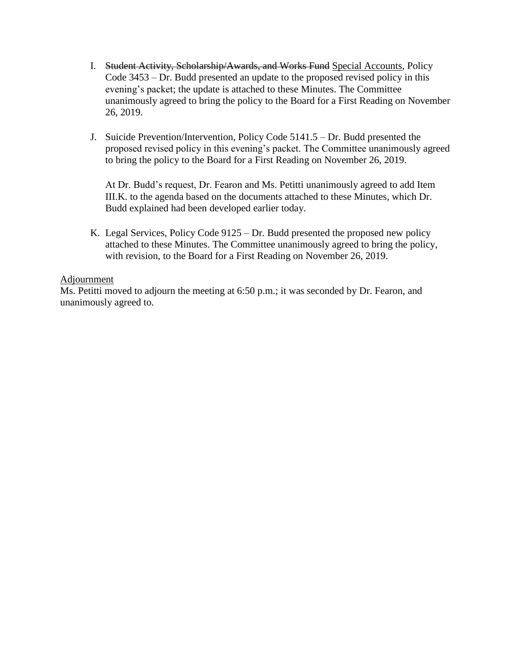- I. Student Activity, Scholarship/Awards, and Works Fund Special Accounts, Policy Code 3453 – Dr. Budd presented an update to the proposed revised policy in this evening's packet; the update is attached to these Minutes. The Committee unanimously agreed to bring the policy to the Board for a First Reading on November 26, 2019.
- J. Suicide Prevention/Intervention, Policy Code 5141.5 Dr. Budd presented the proposed revised policy in this evening's packet. The Committee unanimously agreed to bring the policy to the Board for a First Reading on November 26, 2019.

At Dr. Budd's request, Dr. Fearon and Ms. Petitti unanimously agreed to add Item III.K. to the agenda based on the documents attached to these Minutes, which Dr. Budd explained had been developed earlier today.

K. Legal Services, Policy Code 9125 – Dr. Budd presented the proposed new policy attached to these Minutes. The Committee unanimously agreed to bring the policy, with revision, to the Board for a First Reading on November 26, 2019.

## Adjournment

Ms. Petitti moved to adjourn the meeting at 6:50 p.m.; it was seconded by Dr. Fearon, and unanimously agreed to.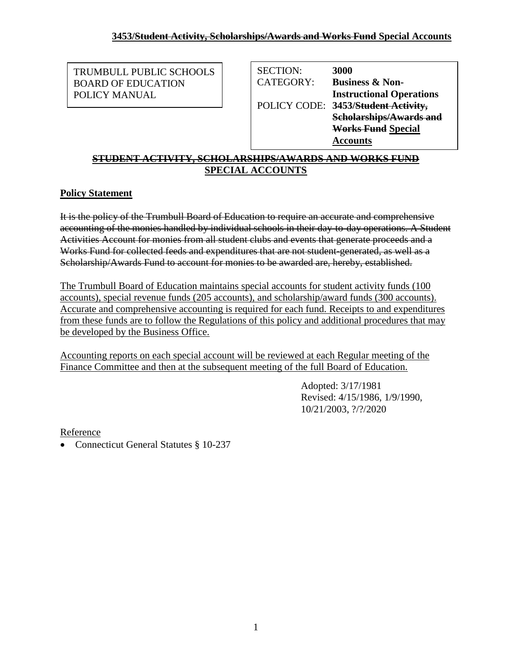TRUMBULL PUBLIC SCHOOLS BOARD OF EDUCATION POLICY MANUAL

| 3000                                |
|-------------------------------------|
| <b>Business &amp; Non-</b>          |
| <b>Instructional Operations</b>     |
| POLICY CODE: 3453/Student Activity, |
| <b>Scholarships/Awards and</b>      |
| <b>Works Fund Special</b>           |
| <b>Accounts</b>                     |
|                                     |

#### **STUDENT ACTIVITY, SCHOLARSHIPS/AWARDS AND WORKS FUND SPECIAL ACCOUNTS Special Accounts**

# **Policy Statement**

It is the policy of the Trumbull Board of Education to require an accurate and comprehensive accounting of the monies handled by individual schools in their day-to-day operations. A Student Activities Account for monies from all student clubs and events that generate proceeds and a Works Fund for collected feeds and expenditures that are not student-generated, as well as a Scholarship/Awards Fund to account for monies to be awarded are, hereby, established.

The Trumbull Board of Education maintains special accounts for student activity funds (100 accounts), special revenue funds (205 accounts), and scholarship/award funds (300 accounts). Accurate and comprehensive accounting is required for each fund. Receipts to and expenditures from these funds are to follow the Regulations of this policy and additional procedures that may be developed by the Business Office.

Accounting reports on each special account will be reviewed at each Regular meeting of the Finance Committee and then at the subsequent meeting of the full Board of Education.

> Adopted: 3/17/1981 Revised: 4/15/1986, 1/9/1990, 10/21/2003, ?/?/2020

Reference

Connecticut General Statutes § 10-237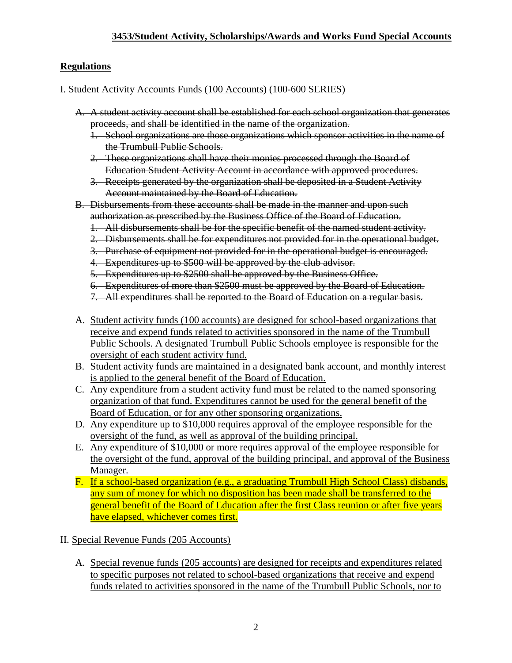## **3453/Student Activity, Scholarships/Awards and Works Fund Special Accounts**

## **Regulations**

I. Student Activity Accounts Funds (100 Accounts) (100-600 SERIES)

- A. A student activity account shall be established for each school organization that generates proceeds, and shall be identified in the name of the organization.
	- 1. School organizations are those organizations which sponsor activities in the name of the Trumbull Public Schools.
	- 2. These organizations shall have their monies processed through the Board of Education Student Activity Account in accordance with approved procedures.
	- 3. Receipts generated by the organization shall be deposited in a Student Activity Account maintained by the Board of Education.
- B. Disbursements from these accounts shall be made in the manner and upon such authorization as prescribed by the Business Office of the Board of Education.
	- 1. All disbursements shall be for the specific benefit of the named student activity.
	- 2. Disbursements shall be for expenditures not provided for in the operational budget.
	- 3. Purchase of equipment not provided for in the operational budget is encouraged.
	- 4. Expenditures up to \$500 will be approved by the club advisor.
	- 5. Expenditures up to \$2500 shall be approved by the Business Office.
	- 6. Expenditures of more than \$2500 must be approved by the Board of Education.
	- 7. All expenditures shall be reported to the Board of Education on a regular basis.
- A. Student activity funds (100 accounts) are designed for school-based organizations that receive and expend funds related to activities sponsored in the name of the Trumbull Public Schools. A designated Trumbull Public Schools employee is responsible for the oversight of each student activity fund.
- B. Student activity funds are maintained in a designated bank account, and monthly interest is applied to the general benefit of the Board of Education.
- C. Any expenditure from a student activity fund must be related to the named sponsoring organization of that fund. Expenditures cannot be used for the general benefit of the Board of Education, or for any other sponsoring organizations.
- D. Any expenditure up to \$10,000 requires approval of the employee responsible for the oversight of the fund, as well as approval of the building principal.
- E. Any expenditure of \$10,000 or more requires approval of the employee responsible for the oversight of the fund, approval of the building principal, and approval of the Business Manager.
- F. If a school-based organization (e.g., a graduating Trumbull High School Class) disbands, any sum of money for which no disposition has been made shall be transferred to the general benefit of the Board of Education after the first Class reunion or after five years have elapsed, whichever comes first.

II. Special Revenue Funds (205 Accounts)

A. Special revenue funds (205 accounts) are designed for receipts and expenditures related to specific purposes not related to school-based organizations that receive and expend funds related to activities sponsored in the name of the Trumbull Public Schools, nor to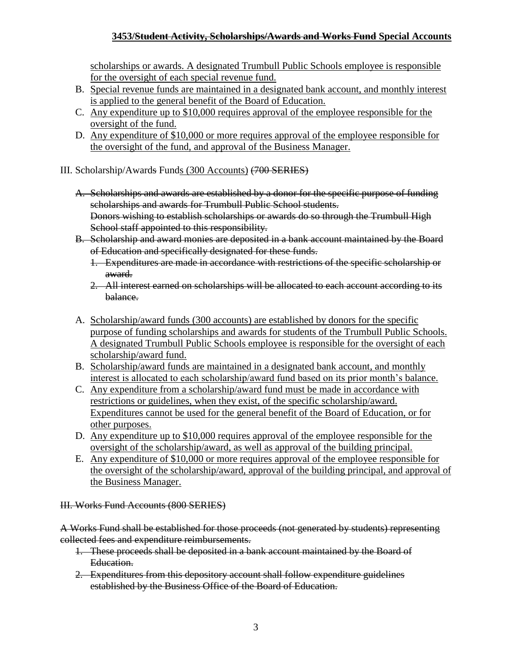# **3453/Student Activity, Scholarships/Awards and Works Fund Special Accounts**

scholarships or awards. A designated Trumbull Public Schools employee is responsible for the oversight of each special revenue fund.

- B. Special revenue funds are maintained in a designated bank account, and monthly interest is applied to the general benefit of the Board of Education.
- C. Any expenditure up to \$10,000 requires approval of the employee responsible for the oversight of the fund.
- D. Any expenditure of \$10,000 or more requires approval of the employee responsible for the oversight of the fund, and approval of the Business Manager.
- III. Scholarship/Awards Funds (300 Accounts) (700 SERIES)
	- A. Scholarships and awards are established by a donor for the specific purpose of funding scholarships and awards for Trumbull Public School students. Donors wishing to establish scholarships or awards do so through the Trumbull High School staff appointed to this responsibility.
	- B. Scholarship and award monies are deposited in a bank account maintained by the Board of Education and specifically designated for these funds.
		- 1. Expenditures are made in accordance with restrictions of the specific scholarship or award.
		- 2. All interest earned on scholarships will be allocated to each account according to its balance.
	- A. Scholarship/award funds (300 accounts) are established by donors for the specific purpose of funding scholarships and awards for students of the Trumbull Public Schools. A designated Trumbull Public Schools employee is responsible for the oversight of each scholarship/award fund.
	- B. Scholarship/award funds are maintained in a designated bank account, and monthly interest is allocated to each scholarship/award fund based on its prior month's balance.
	- C. Any expenditure from a scholarship/award fund must be made in accordance with restrictions or guidelines, when they exist, of the specific scholarship/award. Expenditures cannot be used for the general benefit of the Board of Education, or for other purposes.
	- D. Any expenditure up to \$10,000 requires approval of the employee responsible for the oversight of the scholarship/award, as well as approval of the building principal.
	- E. Any expenditure of \$10,000 or more requires approval of the employee responsible for the oversight of the scholarship/award, approval of the building principal, and approval of the Business Manager.

III. Works Fund Accounts (800 SERIES)

A Works Fund shall be established for those proceeds (not generated by students) representing collected fees and expenditure reimbursements.

- 1. These proceeds shall be deposited in a bank account maintained by the Board of Education.
- 2. Expenditures from this depository account shall follow expenditure guidelines established by the Business Office of the Board of Education.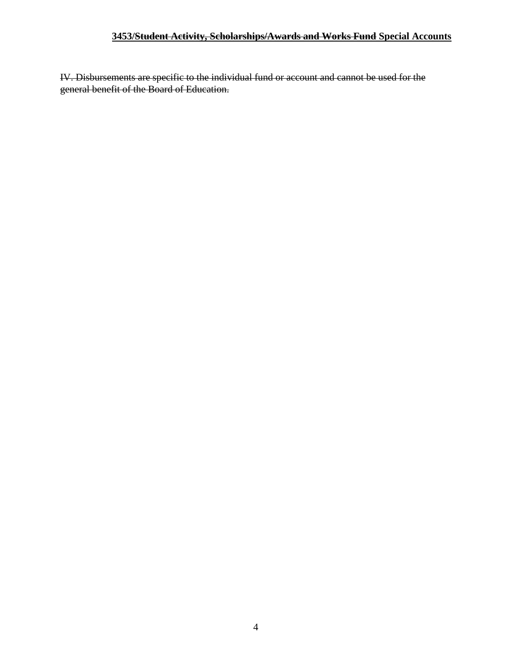## **3453/Student Activity, Scholarships/Awards and Works Fund Special Accounts**

IV. Disbursements are specific to the individual fund or account and cannot be used for the general benefit of the Board of Education.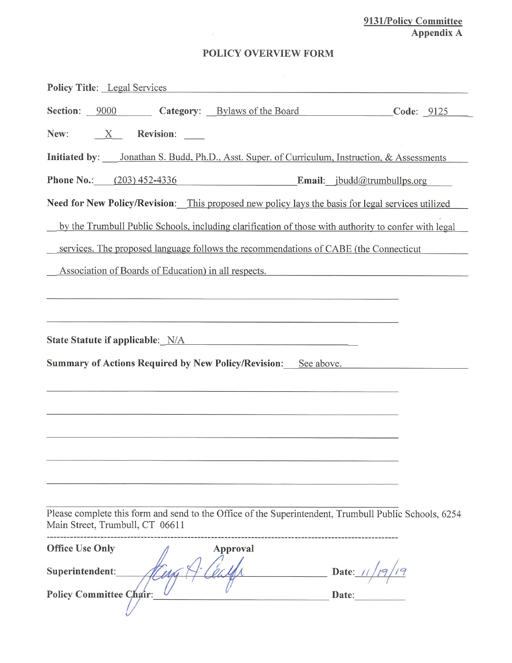# 9131/Policy Committee<br>Appendix A

# POLICY OVERVIEW FORM

 $\sim$   $\approx$ 

| <b>Policy Title:</b> Legal Services                                                                                                                                                                                              |                                                                                                                        |                |
|----------------------------------------------------------------------------------------------------------------------------------------------------------------------------------------------------------------------------------|------------------------------------------------------------------------------------------------------------------------|----------------|
| <b>Section:</b> 9000                                                                                                                                                                                                             | Category: Bylaws of the Board                                                                                          | Code: 9125     |
| Revision: _____<br>New:<br>$\mathbf{X}$                                                                                                                                                                                          |                                                                                                                        |                |
| Initiated by: <i>Jonathan S. Budd, Ph.D., Asst. Super. of Curriculum, Instruction, &amp; Assessments</i>                                                                                                                         |                                                                                                                        |                |
| Phone No.: (203) 452-4336 Email: jbudd@trumbullps.org                                                                                                                                                                            |                                                                                                                        |                |
| Need for New Policy/Revision: This proposed new policy lays the basis for legal services utilized                                                                                                                                |                                                                                                                        |                |
| by the Trumbull Public Schools, including clarification of those with authority to confer with legal                                                                                                                             |                                                                                                                        |                |
| services. The proposed language follows the recommendations of CABE (the Connecticut                                                                                                                                             |                                                                                                                        |                |
| Association of Boards of Education) in all respects.                                                                                                                                                                             |                                                                                                                        |                |
|                                                                                                                                                                                                                                  | <u> 1989 - De Barbara Amerikaanse konstantinopel van die Barbara van die Barbara van die Barbara van die Barbara v</u> |                |
|                                                                                                                                                                                                                                  |                                                                                                                        |                |
| State Statute if applicable: N/A<br>Manuscription Annual State Statute in a policy of the State State of the State State of the State State of the State State of the State State of the State State of the State State State of |                                                                                                                        |                |
|                                                                                                                                                                                                                                  |                                                                                                                        |                |
| <b>Summary of Actions Required by New Policy/Revision:</b>                                                                                                                                                                       | See above.                                                                                                             |                |
|                                                                                                                                                                                                                                  |                                                                                                                        |                |
|                                                                                                                                                                                                                                  |                                                                                                                        |                |
|                                                                                                                                                                                                                                  |                                                                                                                        |                |
|                                                                                                                                                                                                                                  |                                                                                                                        |                |
|                                                                                                                                                                                                                                  |                                                                                                                        |                |
|                                                                                                                                                                                                                                  |                                                                                                                        |                |
| Please complete this form and send to the Office of the Superintendent, Trumbull Public Schools, 6254<br>Main Street, Trumbull, CT 06611                                                                                         |                                                                                                                        |                |
| <b>Office Use Only</b><br>Superintendent:<br>Policy Committee Chair:                                                                                                                                                             | Approval                                                                                                               | Date:<br>Date: |
|                                                                                                                                                                                                                                  |                                                                                                                        |                |